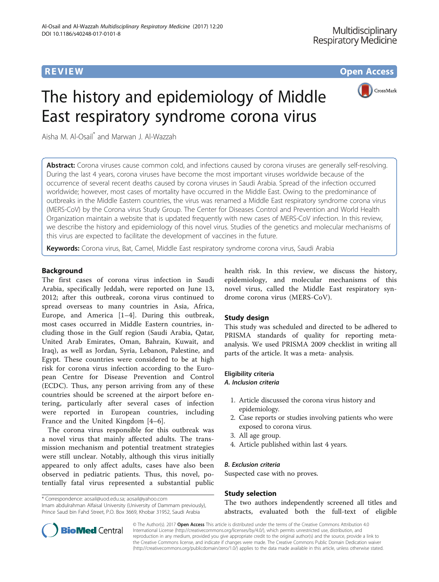# **REVIEW CONSTRUCTION CONSTRUCTION CONSTRUCTS**



# The history and epidemiology of Middle East respiratory syndrome corona virus

Aisha M. Al-Osail\* and Marwan J. Al-Wazzah

Abstract: Corona viruses cause common cold, and infections caused by corona viruses are generally self-resolving. During the last 4 years, corona viruses have become the most important viruses worldwide because of the occurrence of several recent deaths caused by corona viruses in Saudi Arabia. Spread of the infection occurred worldwide; however, most cases of mortality have occurred in the Middle East. Owing to the predominance of outbreaks in the Middle Eastern countries, the virus was renamed a Middle East respiratory syndrome corona virus (MERS-CoV) by the Corona virus Study Group. The Center for Diseases Control and Prevention and World Health Organization maintain a website that is updated frequently with new cases of MERS-CoV infection. In this review, we describe the history and epidemiology of this novel virus. Studies of the genetics and molecular mechanisms of this virus are expected to facilitate the development of vaccines in the future.

Keywords: Corona virus, Bat, Camel, Middle East respiratory syndrome corona virus, Saudi Arabia

# Background

The first cases of corona virus infection in Saudi Arabia, specifically Jeddah, were reported on June 13, 2012; after this outbreak, corona virus continued to spread overseas to many countries in Asia, Africa, Europe, and America [[1](#page-4-0)–[4\]](#page-4-0). During this outbreak, most cases occurred in Middle Eastern countries, including those in the Gulf region (Saudi Arabia, Qatar, United Arab Emirates, Oman, Bahrain, Kuwait, and Iraq), as well as Jordan, Syria, Lebanon, Palestine, and Egypt. These countries were considered to be at high risk for corona virus infection according to the European Centre for Disease Prevention and Control (ECDC). Thus, any person arriving from any of these countries should be screened at the airport before entering, particularly after several cases of infection were reported in European countries, including France and the United Kingdom [[4](#page-4-0)–[6\]](#page-4-0).

The corona virus responsible for this outbreak was a novel virus that mainly affected adults. The transmission mechanism and potential treatment strategies were still unclear. Notably, although this virus initially appeared to only affect adults, cases have also been observed in pediatric patients. Thus, this novel, potentially fatal virus represented a substantial public

\* Correspondence: [aosail@uod.edu.sa;](mailto:aosail@uod.edu.sa) [aosail@yahoo.com](mailto:aosail@yahoo.com)

Imam abdulrahman Alfaisal University (University of Dammam previously), Prince Saud bin Fahd Street, P.O. Box 3669, Khobar 31952, Saudi Arabia

health risk. In this review, we discuss the history, epidemiology, and molecular mechanisms of this novel virus, called the Middle East respiratory syndrome corona virus (MERS-CoV).

# Study design

This study was scheduled and directed to be adhered to PRISMA standards of quality for reporting metaanalysis. We used PRISMA 2009 checklist in writing all parts of the article. It was a meta- analysis.

# Eligibility criteria A. Inclusion criteria

- - 1. Article discussed the corona virus history and epidemiology.
- 2. Case reports or studies involving patients who were exposed to corona virus.
- 3. All age group.
- 4. Article published within last 4 years.

# B. Exclusion criteria

Suspected case with no proves.

# Study selection

The two authors independently screened all titles and abstracts, evaluated both the full-text of eligible



© The Author(s). 2017 Open Access This article is distributed under the terms of the Creative Commons Attribution 4.0 International License [\(http://creativecommons.org/licenses/by/4.0/](http://creativecommons.org/licenses/by/4.0/)), which permits unrestricted use, distribution, and reproduction in any medium, provided you give appropriate credit to the original author(s) and the source, provide a link to the Creative Commons license, and indicate if changes were made. The Creative Commons Public Domain Dedication waiver [\(http://creativecommons.org/publicdomain/zero/1.0/](http://creativecommons.org/publicdomain/zero/1.0/)) applies to the data made available in this article, unless otherwise stated.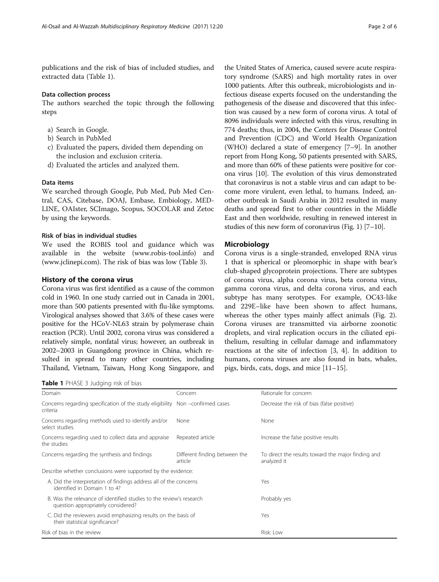publications and the risk of bias of included studies, and extracted data (Table 1).

# Data collection process

The authors searched the topic through the following steps

- a) Search in Google.
- b) Search in PubMed
- c) Evaluated the papers, divided them depending on the inclusion and exclusion criteria.
- d) Evaluated the articles and analyzed them.

# Data items

We searched through Google, Pub Med, Pub Med Central, CAS, Citebase, DOAJ, Embase, Embiology, MED-LINE, OAIster, SCImago, Scopus, SOCOLAR and Zetoc by using the keywords.

# Risk of bias in individual studies

We used the ROBIS tool and guidance which was available in the website [\(www.robis-tool.info](http://www.robis-tool.info)) and ([www.jclinepi.com\)](http://www.jclinepi.com). The risk of bias was low (Table [3\)](#page-4-0).

# History of the corona virus

Corona virus was first identified as a cause of the common cold in 1960. In one study carried out in Canada in 2001, more than 500 patients presented with flu-like symptoms. Virological analyses showed that 3.6% of these cases were positive for the HCoV-NL63 strain by polymerase chain reaction (PCR). Until 2002, corona virus was considered a relatively simple, nonfatal virus; however, an outbreak in 2002–2003 in Guangdong province in China, which resulted in spread to many other countries, including Thailand, Vietnam, Taiwan, Hong Kong Singapore, and

Table 1 PHASE 3 Judging risk of bias

the United States of America, caused severe acute respiratory syndrome (SARS) and high mortality rates in over 1000 patients. After this outbreak, microbiologists and infectious disease experts focused on the understanding the pathogenesis of the disease and discovered that this infection was caused by a new form of corona virus. A total of 8096 individuals were infected with this virus, resulting in 774 deaths; thus, in 2004, the Centers for Disease Control and Prevention (CDC) and World Health Organization (WHO) declared a state of emergency [\[7](#page-4-0)–[9\]](#page-4-0). In another report from Hong Kong, 50 patients presented with SARS, and more than 60% of these patients were positive for corona virus [[10](#page-4-0)]. The evolution of this virus demonstrated that coronavirus is not a stable virus and can adapt to become more virulent, even lethal, to humans. Indeed, another outbreak in Saudi Arabia in 2012 resulted in many deaths and spread first to other countries in the Middle East and then worldwide, resulting in renewed interest in studies of this new form of coronavirus (Fig. [1](#page-2-0)) [\[7](#page-4-0)–[10](#page-4-0)].

# **Microbiology**

Corona virus is a single-stranded, enveloped RNA virus 1 that is spherical or pleomorphic in shape with bear's club-shaped glycoprotein projections. There are subtypes of corona virus, alpha corona virus, beta corona virus, gamma corona virus, and delta corona virus, and each subtype has many serotypes. For example, OC43-like and 229E–like have been shown to affect humans, whereas the other types mainly affect animals (Fig. [2](#page-2-0)). Corona viruses are transmitted via airborne zoonotic droplets, and viral replication occurs in the ciliated epithelium, resulting in cellular damage and inflammatory reactions at the site of infection [[3, 4](#page-4-0)]. In addition to humans, corona viruses are also found in bats, whales, pigs, birds, cats, dogs, and mice [[11](#page-4-0)–[15](#page-5-0)].

| Domain                                                                                                    | Concern                                  | Rationale for concern                                             |  |
|-----------------------------------------------------------------------------------------------------------|------------------------------------------|-------------------------------------------------------------------|--|
| Concerns regarding specification of the study eligibility Non-confirmed cases<br>criteria                 |                                          | Decrease the risk of bias (false positive)                        |  |
| Concerns regarding methods used to identify and/or<br>select studies.                                     | None                                     | None                                                              |  |
| Concerns regarding used to collect data and appraise<br>the studies                                       | Repeated article                         | Increase the false positive results                               |  |
| Concerns regarding the synthesis and findings                                                             | Different finding between the<br>article | To direct the results toward the major finding and<br>analyzed it |  |
| Describe whether conclusions were supported by the evidence:                                              |                                          |                                                                   |  |
| A. Did the interpretation of findings address all of the concerns<br>identified in Domain 1 to 4?         | Yes                                      |                                                                   |  |
| B. Was the relevance of identified studies to the review's research<br>question appropriately considered? | Probably yes                             |                                                                   |  |
| C. Did the reviewers avoid emphasizing results on the basis of<br>their statistical significance?         |                                          | Yes                                                               |  |
| Risk of bias in the review                                                                                |                                          | Risk: Low                                                         |  |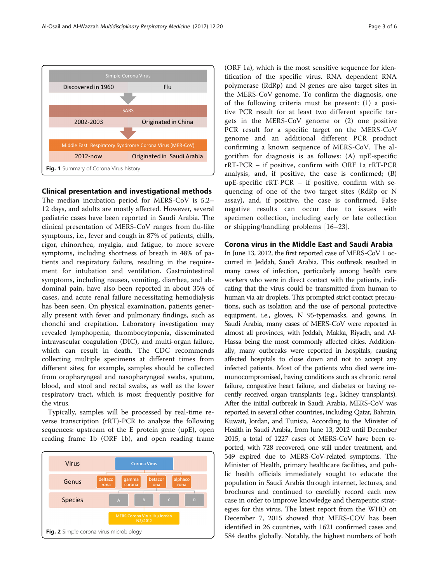<span id="page-2-0"></span>

Clinical presentation and investigational methods The median incubation period for MERS-CoV is 5.2– 12 days, and adults are mostly affected. However, several pediatric cases have been reported in Saudi Arabia. The clinical presentation of MERS-CoV ranges from flu-like symptoms, i.e., fever and cough in 87% of patients, chills, rigor, rhinorrhea, myalgia, and fatigue, to more severe symptoms, including shortness of breath in 48% of patients and respiratory failure, resulting in the requirement for intubation and ventilation. Gastrointestinal symptoms, including nausea, vomiting, diarrhea, and abdominal pain, have also been reported in about 35% of cases, and acute renal failure necessitating hemodialysis has been seen. On physical examination, patients generally present with fever and pulmonary findings, such as rhonchi and crepitation. Laboratory investigation may revealed lymphopenia, thrombocytopenia, disseminated intravascular coagulation (DIC), and multi-organ failure, which can result in death. The CDC recommends collecting multiple specimens at different times from different sites; for example, samples should be collected from oropharyngeal and nasopharyngeal swabs, sputum, blood, and stool and rectal swabs, as well as the lower respiratory tract, which is most frequently positive for the virus.

Typically, samples will be processed by real-time reverse transcription (rRT)-PCR to analyze the following sequences: upstream of the E protein gene (upE), open reading frame 1b (ORF 1b), and open reading frame



(ORF 1a), which is the most sensitive sequence for identification of the specific virus. RNA dependent RNA polymerase (RdRp) and N genes are also target sites in the MERS-CoV genome. To confirm the diagnosis, one of the following criteria must be present: (1) a positive PCR result for at least two different specific targets in the MERS-CoV genome or (2) one positive PCR result for a specific target on the MERS-CoV genome and an additional different PCR product confirming a known sequence of MERS-CoV. The algorithm for diagnosis is as follows: (A) upE-specific rRT-PCR – if positive, confirm with ORF 1a rRT-PCR analysis, and, if positive, the case is confirmed; (B) upE-specific rRT-PCR – if positive, confirm with sequencing of one of the two target sites (RdRp or N assay), and, if positive, the case is confirmed. False negative results can occur due to issues with specimen collection, including early or late collection or shipping/handling problems [[16](#page-5-0)–[23\]](#page-5-0).

# Corona virus in the Middle East and Saudi Arabia

In June 13, 2012, the first reported case of MERS-CoV 1 occurred in Jeddah, Saudi Arabia. This outbreak resulted in many cases of infection, particularly among health care workers who were in direct contact with the patients, indicating that the virus could be transmitted from human to human via air droplets. This prompted strict contact precautions, such as isolation and the use of personal protective equipment, i.e., gloves, N 95-typemasks, and gowns. In Saudi Arabia, many cases of MERS-CoV were reported in almost all provinces, with Jeddah, Makka, Riyadh, and Al-Hassa being the most commonly affected cities. Additionally, many outbreaks were reported in hospitals, causing affected hospitals to close down and not to accept any infected patients. Most of the patients who died were immunocompromised, having conditions such as chronic renal failure, congestive heart failure, and diabetes or having recently received organ transplants (e.g., kidney transplants). After the initial outbreak in Saudi Arabia, MERS-CoV was reported in several other countries, including Qatar, Bahrain, Kuwait, Jordan, and Tunisia. According to the Minister of Health in Saudi Arabia, from June 13, 2012 until December 2015, a total of 1227 cases of MERS-CoV have been reported, with 728 recovered, one still under treatment, and 549 expired due to MERS-CoV-related symptoms. The Minister of Health, primary healthcare facilities, and public health officials immediately sought to educate the population in Saudi Arabia through internet, lectures, and brochures and continued to carefully record each new case in order to improve knowledge and therapeutic strategies for this virus. The latest report from the WHO on December 7, 2015 showed that MERS-COV has been identified in 26 countries, with 1621 confirmed cases and 584 deaths globally. Notably, the highest numbers of both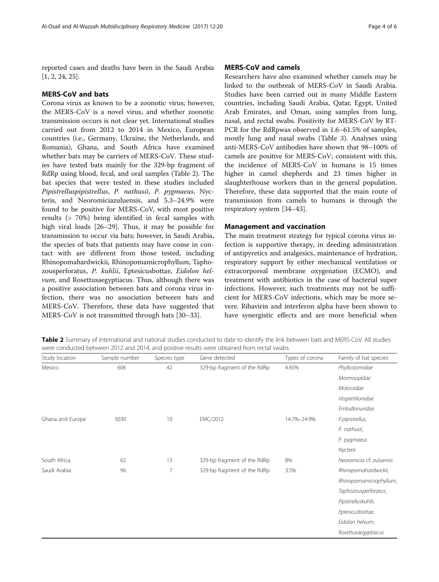reported cases and deaths have been in the Saudi Arabia [[1, 2](#page-4-0), [24](#page-5-0), [25\]](#page-5-0).

# MERS-CoV and bats

Corona virus as known to be a zoonotic virus; however, the MERS-CoV is a novel virus, and whether zoonotic transmission occurs is not clear yet. International studies carried out from 2012 to 2014 in Mexico, European countries (i.e., Germany, Ukraine, the Netherlands, and Romania), Ghana, and South Africa have examined whether bats may be carriers of MERS-CoV. These studies have tested bats mainly for the 329-bp fragment of RdRp using blood, fecal, and oral samples (Table 2). The bat species that were tested in these studies included Pipistrelluspipistrellus, P. nathusii, P. pygmaeus, Nycteris, and Neoromiciazuluensis, and 5.3–24.9% were found to be positive for MERS-CoV, with most positive results (> 70%) being identified in fecal samples with high viral loads [[26](#page-5-0)–[29\]](#page-5-0). Thus, it may be possible for transmission to occur via bats; however, in Saudi Arabia, the species of bats that patients may have come in contact with are different from those tested, including Rhinopomahardwickii, Rhinopomamicrophyllum, Taphozousperforatus, P. kuhlii, Eptesicusbottae, Eidolon helvum, and Rosettusaegyptiacus. Thus, although there was a positive association between bats and corona virus infection, there was no association between bats and MERS-CoV. Therefore, these data have suggested that MERS-CoV is not transmitted through bats [[30](#page-5-0)–[33\]](#page-5-0).

# MERS-CoV and camels

Researchers have also examined whether camels may be linked to the outbreak of MERS-CoV in Saudi Arabia. Studies have been carried out in many Middle Eastern countries, including Saudi Arabia, Qatar, Egypt, United Arab Emirates, and Oman, using samples from lung, nasal, and rectal swabs. Positivity for MERS-CoV by RT-PCR for the RdRpwas observed in 1.6–61.5% of samples, mostly lung and nasal swabs (Table [3\)](#page-4-0). Analyses using anti-MERS-CoV antibodies have shown that 98–100% of camels are positive for MERS-CoV; consistent with this, the incidence of MERS-CoV in humans is 15 times higher in camel shepherds and 23 times higher in slaughterhouse workers than in the general population. Therefore, these data supported that the main route of transmission from camels to humans is through the respiratory system [[34](#page-5-0)–[43](#page-5-0)].

### Management and vaccination

The main treatment strategy for typical corona virus infection is supportive therapy, in deeding administration of antipyretics and analgesics, maintenance of hydration, respiratory support by either mechanical ventilation or extracorporeal membrane oxygenation (ECMO), and treatment with antibiotics in the case of bacterial super infections. However, such treatments may not be sufficient for MERS-CoV infections, which may be more severe. Ribavirin and interferon alpha have been shown to have synergistic effects and are more beneficial when

Table 2 Summary of international and national studies conducted to date to identify the link between bats and MERS-CoV. All studies were conducted between 2012 and 2014, and positive results were obtained from rectal swabs

| Study location           | Sample number | Species type | Gene detected               | Types of corona | Family of bat species    |
|--------------------------|---------------|--------------|-----------------------------|-----------------|--------------------------|
| 606<br>Mexico            |               | 42           | 329-bp fragment of the RdRp | 4.45%           | Phyllostomidae           |
|                          |               |              |                             |                 | Mormoopidae              |
|                          |               |              |                             |                 | Molossidae               |
|                          |               |              |                             |                 | Vespertilionidae         |
|                          |               |              |                             |                 | Emballonuridae           |
| Ghana and Europe<br>5030 |               | 10           | EMC/2012                    | 14.7%-24.9%     | P.pipistrellus,          |
|                          |               |              |                             |                 | P. nathusii,             |
|                          |               |              |                             |                 | P. pygmaeus              |
|                          |               |              |                             |                 | Nycteris                 |
| South Africa             | 62            | 13           | 329-bp fragment of the RdRp | 8%              | Neoromicia cf. zuluensis |
| Saudi Arabia             | 96            | 7            | 329-bp fragment of the RdRp | 3.5%            | Rhinopomahardwickii,     |
|                          |               |              |                             |                 | Rhinopomamicrophyllum,   |
|                          |               |              |                             |                 | Taphozousperforatus,     |
|                          |               |              |                             |                 | Pipistrelluskuhlii,      |
|                          |               |              |                             |                 | Eptesicusbottae,         |
|                          |               |              |                             |                 | Eidolon helvum,          |
|                          |               |              |                             |                 | Rosettusaegyptiacus      |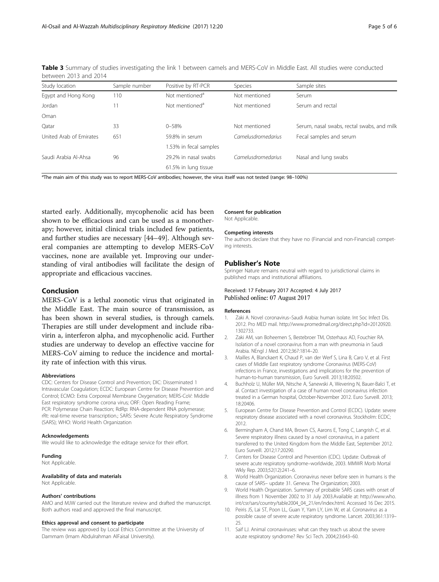| Study location          | Sample number | Positive by RT-PCR                          | Species            | Sample sites                               |  |  |  |
|-------------------------|---------------|---------------------------------------------|--------------------|--------------------------------------------|--|--|--|
| Egypt and Hong Kong     | 110           | Not mentioned <sup>a</sup>                  | Not mentioned      | Serum                                      |  |  |  |
| Jordan                  | 11            | Not mentioned <sup>a</sup><br>Not mentioned |                    | Serum and rectal                           |  |  |  |
| Oman                    |               |                                             |                    |                                            |  |  |  |
| Oatar                   | 33            | $0 - 58%$                                   | Not mentioned      | Serum, nasal swabs, rectal swabs, and milk |  |  |  |
| United Arab of Emirates | 651           | 59.8% in serum                              | Camelusdromedarius | Fecal samples and serum                    |  |  |  |
|                         |               | 1.53% in fecal samples                      |                    |                                            |  |  |  |
| Saudi Arabia Al-Ahsa    | 96            | 29.2% in nasal swabs                        | Camelusdromedarius | Nasal and lung swabs                       |  |  |  |
|                         |               | 61.5% in lung tissue                        |                    |                                            |  |  |  |

<span id="page-4-0"></span>Table 3 Summary of studies investigating the link 1 between camels and MERS-CoV in Middle East. All studies were conducted between 2013 and 2014

a The main aim of this study was to report MERS-CoV antibodies; however, the virus itself was not tested (range: 98–100%)

started early. Additionally, mycophenolic acid has been shown to be efficacious and can be used as a monotherapy; however, initial clinical trials included few patients, and further studies are necessary [[44](#page-5-0)–[49](#page-5-0)]. Although several companies are attempting to develop MERS-CoV vaccines, none are available yet. Improving our understanding of viral antibodies will facilitate the design of appropriate and efficacious vaccines.

# Conclusion

MERS-CoV is a lethal zoonotic virus that originated in the Middle East. The main source of transmission, as has been shown in several studies, is through camels. Therapies are still under development and include ribavirin a, interferon alpha, and mycophenolic acid. Further studies are underway to develop an effective vaccine for MERS-CoV aiming to reduce the incidence and mortality rate of infection with this virus.

#### Abbreviations

CDC: Centers for Disease Control and Prevention; DIC: Disseminated 1 Intravascular Coagulation; ECDC: European Centre for Disease Prevention and Control; ECMO: Extra Corporeal Membrane Oxygenation; MERS-CoV: Middle East respiratory syndrome corona virus; ORF: Open Reading Frame; PCR: Polymerase Chain Reaction; RdRp: RNA-dependent RNA polymerase; rRt: real-time reverse transcription.; SARS: Severe Acute Respiratory Syndrome (SARS); WHO: World Health Organization

#### Acknowledgements

We would like to acknowledge the editage service for their effort.

#### Funding

Not Applicable.

#### Availability of data and materials

Not Applicable.

#### Authors' contributions

AMO and MJW carried out the literature review and drafted the manuscript. Both authors read and approved the final manuscript.

#### Ethics approval and consent to participate

The review was approved by Local Ethics Committee at the University of Dammam (Imam Abdulrahman AlFaisal University).

#### Consent for publication

Not Applicable.

#### Competing interests

The authors declare that they have no (Financial and non-Financial) competing interests.

### Publisher's Note

Springer Nature remains neutral with regard to jurisdictional claims in published maps and institutional affiliations.

#### Received: 17 February 2017 Accepted: 4 July 2017 Published online: 07 August 2017

#### References

- Zaki A. Novel coronavirus–Saudi Arabia: human isolate. Int Soc Infect Dis. 2012. Pro MED mail. [http://www.promedmail.org/direct.php?id=20120920.](http://www.promedmail.org/direct.php?id=20120920.1302733) [1302733.](http://www.promedmail.org/direct.php?id=20120920.1302733)
- 2. Zaki AM, van Boheemen S, Bestebroer TM, Osterhaus AD, Fouchier RA. Isolation of a novel coronavirus from a man with pneumonia in Saudi Arabia. NEngl J Med. 2012;367:1814–20.
- 3. Mailles A, Blanckaert K, Chaud P, van der Werf S, Lina B, Caro V, et al. First cases of Middle East respiratory syndrome Coronavirus (MERS-CoV) infections in France, investigations and implications for the prevention of human-to-human transmission, Euro Surveill. 2013;18:20502.
- 4. Buchholz U, Müller MA, Nitsche A, Sanewski A, Wevering N, Bauer-Balci T, et al. Contact investigation of a case of human novel coronavirus infection treated in a German hospital, October-November 2012. Euro Surveill. 2013; 18:20406.
- 5. European Centre for Disease Prevention and Control (ECDC). Update: severe respiratory disease associated with a novel coronavirus. Stockholm: ECDC; 2012.
- Bermingham A, Chand MA, Brown CS, Aarons E, Tong C, Langrish C, et al. Severe respiratory illness caused by a novel coronavirus, in a patient transferred to the United Kingdom from the Middle East, September 2012. Euro Surveill. 2012;17:20290.
- 7. Centers for Disease Control and Prevention (CDC). Update: Outbreak of severe acute respiratory syndrome–worldwide, 2003. MMWR Morb Mortal Wkly Rep. 2003;52(12):241–6.
- World Health Organization. Coronavirus never before seen in humans is the cause of SARS– update 31. Geneva: The Organization; 2003.
- 9. World Health Organization. Summary of probable SARS cases with onset of illness from 1 November 2002 to 31 July 2003.Available at: [http://www.who.](http://www.who.int/csr/sars/country/table2004_04_21/en/index.html) [int/csr/sars/country/table2004\\_04\\_21/en/index.html](http://www.who.int/csr/sars/country/table2004_04_21/en/index.html). Accessed 16 Dec 2015.
- 10. Peiris JS, Lai ST, Poon LL, Guan Y, Yam LY, Lim W, et al. Coronavirus as a possible cause of severe acute respiratory syndrome. Lancet. 2003;361:1319– 25.
- 11. Saif LJ. Animal coronaviruses: what can they teach us about the severe acute respiratory syndrome? Rev Sci Tech. 2004;23:643–60.